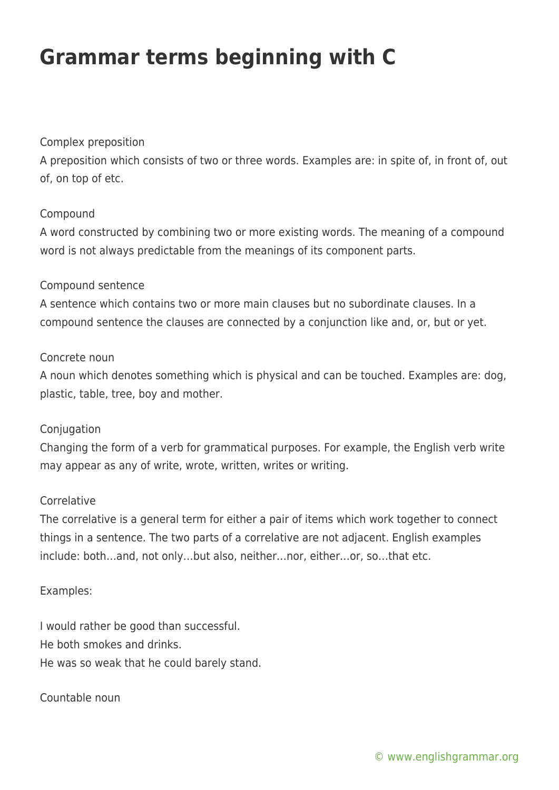# **Grammar terms beginning with C**

## Complex preposition

A preposition which consists of two or three words. Examples are: in spite of, in front of, out of, on top of etc.

### Compound

A word constructed by combining two or more existing words. The meaning of a compound word is not always predictable from the meanings of its component parts.

### Compound sentence

A sentence which contains two or more main clauses but no subordinate clauses. In a compound sentence the clauses are connected by a conjunction like and, or, but or yet.

#### Concrete noun

A noun which denotes something which is physical and can be touched. Examples are: dog, plastic, table, tree, boy and mother.

#### **Conjugation**

Changing the form of a verb for grammatical purposes. For example, the English verb write may appear as any of write, wrote, written, writes or writing.

#### Correlative

The correlative is a general term for either a pair of items which work together to connect things in a sentence. The two parts of a correlative are not adjacent. English examples include: both…and, not only…but also, neither…nor, either…or, so…that etc.

#### Examples:

I would rather be good than successful. He both smokes and drinks. He was so weak that he could barely stand.

#### Countable noun